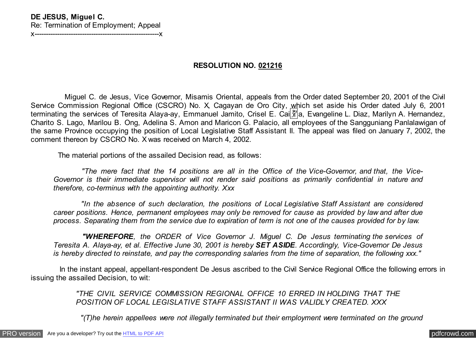## **DE JESUS, Miguel C.** Re: Termination of Employment; Appeal

x-------------------------------------------------------x

## **RESOLUTION NO. 021216**

 Miguel C. de Jesus, Vice Governor, Misamis Oriental, appeals from the Order dated September 20, 2001 of the Civil Service Commission Regional Office (CSCRO) No. X, Cagayan de Oro City, which set aside his Order dated July 6, 2001 terminating the services of Teresita Alaya-ay, Emmanuel Jamito, Crisel E. Cai $\frac{\alpha}{4}$ a, Evangeline L. Diaz, Marilyn A. Hernandez, Charito S. Lago, Marilou B. Ong, Adelina S. Amon and Maricon G. Palacio, all employees of the Sangguniang Panlalawigan of the same Province occupying the position of Local Legislative Staff Assistant II. The appeal was filed on January 7, 2002, the comment thereon by CSCRO No. X was received on March 4, 2002.

The material portions of the assailed Decision read, as follows:

 *"The mere fact that the 14 positions are all in the Office of the Vice-Governor, and that, the Vice-Governor is their immediate supervisor will not render said positions as primarily confidential in nature and therefore, co-terminus with the appointing authority. Xxx*

 *"In the absence of such declaration, the positions of Local Legislative Staff Assistant are considered career positions. Hence, permanent employees may only be removed for cause as provided by law and after due process. Separating them from the service due to expiration of term is not one of the causes provided for by law.*

 *"WHEREFORE, the ORDER of Vice Governor J. Miguel C. De Jesus terminating the services of Teresita A. Alaya-ay, et al. Effective June 30, 2001 is hereby SET ASIDE. Accordingly, Vice-Governor De Jesus is hereby directed to reinstate, and pay the corresponding salaries from the time of separation, the following xxx*.*"*

 In the instant appeal, appellant-respondent De Jesus ascribed to the Civil Service Regional Office the following errors in issuing the assailed Decision, to wit:

> *"THE CIVIL SERVICE COMMISSION REGIONAL OFFICE 10 ERRED IN HOLDING THAT THE POSITION OF LOCAL LEGISLATIVE STAFF ASSISTANT II WAS VALIDLY CREATED. XXX*

 *"(T)he herein appellees were not illegally terminated but their employment were terminated on the ground*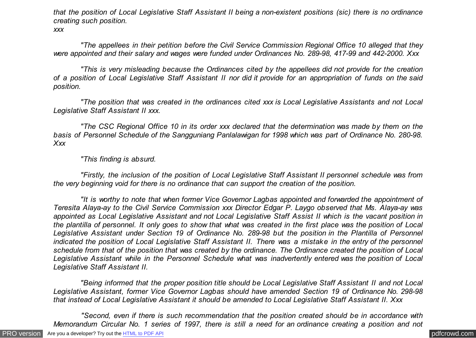*that the position of Local Legislative Staff Assistant II being a non-existent positions (sic) there is no ordinance creating such position. xxx*

 *"The appellees in their petition before the Civil Service Commission Regional Office 10 alleged that they were appointed and their salary and wages were funded under Ordinances No. 289-98, 417-99 and 442-2000. Xxx*

 *"This is very misleading because the Ordinances cited by the appellees did not provide for the creation of a position of Local Legislative Staff Assistant II nor did it provide for an appropriation of funds on the said position.*

 *"The position that was created in the ordinances cited xxx is Local Legislative Assistants and not Local Legislative Staff Assistant II xxx.*

 *"The CSC Regional Office 10 in its order xxx declared that the determination was made by them on the basis of Personnel Schedule of the Sangguniang Panlalawigan for 1998 which was part of Ordinance No. 280-98. Xxx*

 *"This finding is absurd.*

 *"Firstly, the inclusion of the position of Local Legislative Staff Assistant II personnel schedule was from the very beginning void for there is no ordinance that can support the creation of the position.*

 *"It is worthy to note that when former Vice Governor Lagbas appointed and forwarded the appointment of Teresita Alaya-ay to the Civil Service Commission xxx Director Edgar P. Laygo observed that Ms. Alaya-ay was appointed as Local Legislative Assistant and not Local Legislative Staff Assist II which is the vacant position in the plantilla of personnel. It only goes to show that what was created in the first place was the position of Local Legislative Assistant under Section 19 of Ordinance No. 289-98 but the position in the Plantilla of Personnel indicated the position of Local Legislative Staff Assistant II. There was a mistake in the entry of the personnel schedule from that of the position that was created by the ordinance. The Ordinance created the position of Local Legislative Assistant while in the Personnel Schedule what was inadvertently entered was the position of Local Legislative Staff Assistant II.*

 *"Being informed that the proper position title should be Local Legislative Staff Assistant II and not Local Legislative Assistant, former Vice Governor Lagbas should have amended Section 19 of Ordinance No. 298-98 that instead of Local Legislative Assistant it should be amended to Local Legislative Staff Assistant II. Xxx*

 *"Second, even if there is such recommendation that the position created should be in accordance with Memorandum Circular No. 1 series of 1997, there is still a need for an ordinance creating a position and not*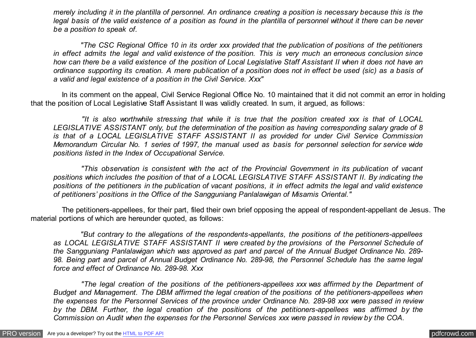*merely including it in the plantilla of personnel. An ordinance creating a position is necessary because this is the legal basis of the valid existence of a position as found in the plantilla of personnel without it there can be never be a position to speak of.*

 *"The CSC Regional Office 10 in its order xxx provided that the publication of positions of the petitioners in effect admits the legal and valid existence of the position. This is very much an erroneous conclusion since how can there be a valid existence of the position of Local Legislative Staff Assistant II when it does not have an ordinance supporting its creation. A mere publication of a position does not in effect be used (sic) as a basis of a valid and legal existence of a position in the Civil Service. Xxx"*

 In its comment on the appeal, Civil Service Regional Office No. 10 maintained that it did not commit an error in holding that the position of Local Legislative Staff Assistant II was validly created. In sum, it argued, as follows:

 *"It is also worthwhile stressing that while it is true that the position created xxx is that of LOCAL LEGISLATIVE ASSISTANT only, but the determination of the position as having corresponding salary grade of 8 is that of a LOCAL LEGISLATIVE STAFF ASSISTANT II as provided for under Civil Service Commission Memorandum Circular No. 1 series of 1997, the manual used as basis for personnel selection for service wide positions listed in the Index of Occupational Service.*

 *"This observation is consistent with the act of the Provincial Government in its publication of vacant positions which includes the position of that of a LOCAL LEGISLATIVE STAFF ASSISTANT II. By indicating the positions of the petitioners in the publication of vacant positions, it in effect admits the legal and valid existence of petitioners' positions in the Office of the Sangguniang Panlalawigan of Misamis Oriental."*

 The petitioners-appellees, for their part, filed their own brief opposing the appeal of respondent-appellant de Jesus. The material portions of which are hereunder quoted, as follows:

 *"But contrary to the allegations of the respondents-appellants, the positions of the petitioners-appellees as LOCAL LEGISLATIVE STAFF ASSISTANT II were created by the provisions of the Personnel Schedule of the Sangguniang Panlalawigan which was approved as part and parcel of the Annual Budget Ordinance No. 289- 98. Being part and parcel of Annual Budget Ordinance No. 289-98, the Personnel Schedule has the same legal force and effect of Ordinance No. 289-98. Xxx*

 *"The legal creation of the positions of the petitioners-appellees xxx was affirmed by the Department of Budget and Management. The DBM affirmed the legal creation of the positions of the petitioners-appellees when the expenses for the Personnel Services of the province under Ordinance No. 289-98 xxx were passed in review by the DBM. Further, the legal creation of the positions of the petitioners-appellees was affirmed by the Commission on Audit when the expenses for the Personnel Services xxx were passed in review by the COA.*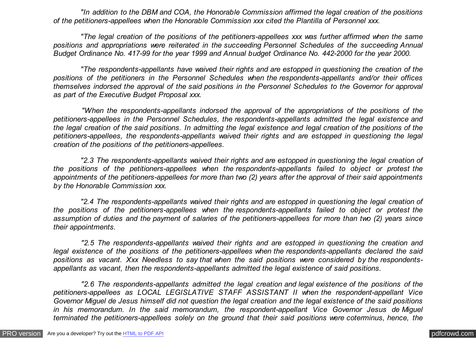*"In addition to the DBM and COA, the Honorable Commission affirmed the legal creation of the positions of the petitioners-appellees when the Honorable Commission xxx cited the Plantilla of Personnel xxx.*

 *"The legal creation of the positions of the petitioners-appellees xxx was further affirmed when the same positions and appropriations were reiterated in the succeeding Personnel Schedules of the succeeding Annual Budget Ordinance No. 417-99 for the year 1999 and Annual budget Ordinance No. 442-2000 for the year 2000.*

 *"The respondents-appellants have waived their rights and are estopped in questioning the creation of the positions of the petitioners in the Personnel Schedules when the respondents-appellants and/or their offices themselves indorsed the approval of the said positions in the Personnel Schedules to the Governor for approval as part of the Executive Budget Proposal xxx.*

 *"When the respondents-appellants indorsed the approval of the appropriations of the positions of the petitioners-appellees in the Personnel Schedules, the respondents-appellants admitted the legal existence and the legal creation of the said positions. In admitting the legal existence and legal creation of the positions of the petitioners-appellees, the respondents-appellants waived their rights and are estopped in questioning the legal creation of the positions of the petitioners-appellees.*

 *"2.3 The respondents-appellants waived their rights and are estopped in questioning the legal creation of the positions of the petitioners-appellees when the respondents-appellants failed to object or protest the appointments of the petitioners-appellees for more than two (2) years after the approval of their said appointments by the Honorable Commission xxx.*

 *"2.4 The respondents-appellants waived their rights and are estopped in questioning the legal creation of the positions of the petitioners-appellees when the respondents-appellants failed to object or protest the assumption of duties and the payment of salaries of the petitioners-appellees for more than two (2) years since their appointments.*

 *"2.5 The respondents-appellants waived their rights and are estopped in questioning the creation and legal existence of the positions of the petitioners-appellees when the respondents-appellants declared the said positions as vacant. Xxx Needless to say that when the said positions were considered by the respondentsappellants as vacant, then the respondents-appellants admitted the legal existence of said positions.*

 *"2.6 The respondents-appellants admitted the legal creation and legal existence of the positions of the petitioners-appellees as LOCAL LEGISLATIVE STAFF ASSISTANT II when the respondent-appellant Vice Governor Miguel de Jesus himself did not question the legal creation and the legal existence of the said positions in his memorandum. In the said memorandum, the respondent-appellant Vice Governor Jesus de Miguel terminated the petitioners-appellees solely on the ground that their said positions were coterminus, hence, the*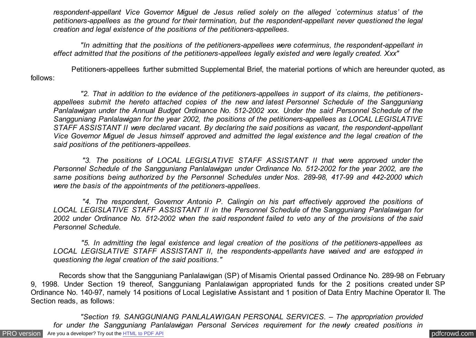*respondent-appellant Vice Governor Miguel de Jesus relied solely on the alleged `coterminus status' of the petitioners-appellees as the ground for their termination, but the respondent-appellant never questioned the legal creation and legal existence of the positions of the petitioners-appellees.*

 *"In admitting that the positions of the petitioners-appellees were coterminus, the respondent-appellant in effect admitted that the positions of the petitioners-appellees legally existed and were legally created. Xxx"*

 Petitioners-appellees further submitted Supplemental Brief, the material portions of which are hereunder quoted, as follows:

 *"2. That in addition to the evidence of the petitioners-appellees in support of its claims, the petitionersappellees submit the hereto attached copies of the new and latest Personnel Schedule of the Sangguniang Panlalawigan under the Annual Budget Ordinance No. 512-2002 xxx. Under the said Personnel Schedule of the Sangguniang Panlalawigan for the year 2002, the positions of the petitioners-appellees as LOCAL LEGISLATIVE STAFF ASSISTANT II were declared vacant. By declaring the said positions as vacant, the respondent-appellant Vice Governor Miguel de Jesus himself approved and admitted the legal existence and the legal creation of the said positions of the petitioners-appellees.*

 *"3. The positions of LOCAL LEGISLATIVE STAFF ASSISTANT II that were approved under the Personnel Schedule of the Sangguniang Panlalawigan under Ordinance No. 512-2002 for the year 2002, are the same positions being authorized by the Personnel Schedules under Nos. 289-98, 417-99 and 442-2000 which were the basis of the appointments of the petitioners-appellees.*

 *"4. The respondent, Governor Antonio P. Calingin on his part effectively approved the positions of LOCAL LEGISLATIVE STAFF ASSISTANT II in the Personnel Schedule of the Sangguniang Panlalawigan for 2002 under Ordinance No. 512-2002 when the said respondent failed to veto any of the provisions of the said Personnel Schedule.*

 *"5. In admitting the legal existence and legal creation of the positions of the petitioners-appellees as LOCAL LEGISLATIVE STAFF ASSISTANT II, the respondents-appellants have waived and are estopped in questioning the legal creation of the said positions."*

 Records show that the Sangguniang Panlalawigan (SP) of Misamis Oriental passed Ordinance No. 289-98 on February 9, 1998. Under Section 19 thereof, Sangguniang Panlalawigan appropriated funds for the 2 positions created under SP Ordinance No. 140-97, namely 14 positions of Local Legislative Assistant and 1 position of Data Entry Machine Operator II. The Section reads, as follows:

[PRO version](http://pdfcrowd.com/customize/) Are you a developer? Try out th[e HTML to PDF API](http://pdfcrowd.com/html-to-pdf-api/?ref=pdf) process and the example of the HTML to PDF API [pdfcrowd.com](http://pdfcrowd.com)  *"Section 19. SANGGUNIANG PANLALAWIGAN PERSONAL SERVICES. – The appropriation provided for under the Sangguniang Panlalawigan Personal Services requirement for the newly created positions in*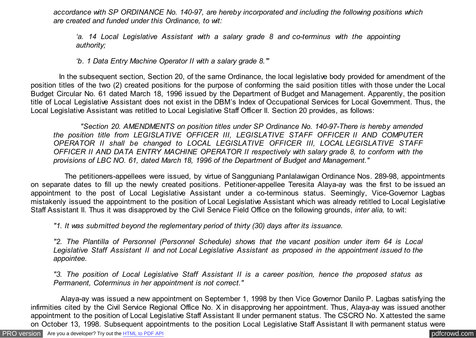*accordance with SP ORDINANCE No. 140-97, are hereby incorporated and including the following positions which are created and funded under this Ordinance, to wit:*

*'a. 14 Local Legislative Assistant with a salary grade 8 and co-terminus with the appointing authority;*

*'b. 1 Data Entry Machine Operator II with a salary grade 8.'"*

 In the subsequent section, Section 20, of the same Ordinance, the local legislative body provided for amendment of the position titles of the two (2) created positions for the purpose of conforming the said position titles with those under the Local Budget Circular No. 61 dated March 18, 1996 issued by the Department of Budget and Management. Apparently, the position title of Local Legislative Assistant does not exist in the DBM's Index of Occupational Services for Local Government. Thus, the Local Legislative Assistant was retitled to Local Legislative Staff Officer II. Section 20 provides, as follows:

 *"Section 20. AMENDMENTS on position titles under SP Ordinance No. 140-97-There is hereby amended the position title from LEGISLATIVE OFFICER III, LEGISLATIVE STAFF OFFICER II AND COMPUTER OPERATOR II shall be changed to LOCAL LEGISLATIVE OFFICER III, LOCAL LEGISLATIVE STAFF OFFICER II AND DATA ENTRY MACHINE OPERATOR II respectively with salary grade 8, to conform with the provisions of LBC NO. 61, dated March 18, 1996 of the Department of Budget and Management."*

 The petitioners-appellees were issued, by virtue of Sangguniang Panlalawigan Ordinance Nos. 289-98, appointments on separate dates to fill up the newly created positions. Petitioner-appellee Teresita Alaya-ay was the first to be issued an appointment to the post of Local Legislative Assistant under a co-terminous status. Seemingly, Vice-Governor Lagbas mistakenly issued the appointment to the position of Local Legislative Assistant which was already retitled to Local Legislative Staff Assistant II. Thus it was disapproved by the Civil Service Field Office on the following grounds, *inter alia,* to wit:

*"1. It was submitted beyond the reglementary period of thirty (30) days after its issuance.*

*"2. The Plantilla of Personnel (Personnel Schedule) shows that the vacant position under item 64 is Local Legislative Staff Assistant II and not Local Legislative Assistant as proposed in the appointment issued to the appointee.*

*"3. The position of Local Legislative Staff Assistant II is a career position, hence the proposed status as Permanent, Coterminus in her appointment is not correct."*

 Alaya-ay was issued a new appointment on September 1, 1998 by then Vice Governor Danilo P. Lagbas satisfying the infirmities cited by the Civil Service Regional Office No. X in disapproving her appointment. Thus, Alaya-ay was issued another appointment to the position of Local Legislative Staff Assistant II under permanent status. The CSCRO No. X attested the same on October 13, 1998. Subsequent appointments to the position Local Legislative Staff Assistant II with permanent status were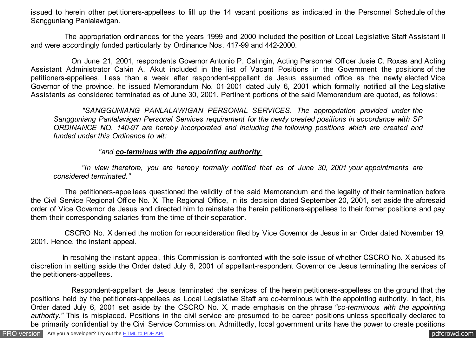issued to herein other petitioners-appellees to fill up the 14 vacant positions as indicated in the Personnel Schedule of the Sangguniang Panlalawigan.

 The appropriation ordinances for the years 1999 and 2000 included the position of Local Legislative Staff Assistant II and were accordingly funded particularly by Ordinance Nos. 417-99 and 442-2000.

 On June 21, 2001, respondents Governor Antonio P. Calingin, Acting Personnel Officer Jusie C. Roxas and Acting Assistant Administrator Calvin A. Akut included in the list of Vacant Positions in the Government the positions of the petitioners-appellees. Less than a week after respondent-appellant de Jesus assumed office as the newly elected Vice Governor of the province, he issued Memorandum No. 01-2001 dated July 6, 2001 which formally notified all the Legislative Assistants as considered terminated as of June 30, 2001. Pertinent portions of the said Memorandum are quoted, as follows:

 *"SANGGUNIANG PANLALAWIGAN PERSONAL SERVICES. The appropriation provided under the Sangguniang Panlalawigan Personal Services requirement for the newly created positions in accordance with SP ORDINANCE NO. 140-97 are hereby incorporated and including the following positions which are created and funded under this Ordinance to wit:*

## *"and co-terminus with the appointing authority.*

 *"In view therefore, you are hereby formally notified that as of June 30, 2001 your appointments are considered terminated."*

 The petitioners-appellees questioned the validity of the said Memorandum and the legality of their termination before the Civil Service Regional Office No. X. The Regional Office, in its decision dated September 20, 2001, set aside the aforesaid order of Vice Governor de Jesus and directed him to reinstate the herein petitioners-appellees to their former positions and pay them their corresponding salaries from the time of their separation.

 CSCRO No. X denied the motion for reconsideration filed by Vice Governor de Jesus in an Order dated November 19, 2001. Hence, the instant appeal.

 In resolving the instant appeal, this Commission is confronted with the sole issue of whether CSCRO No. X abused its discretion in setting aside the Order dated July 6, 2001 of appellant-respondent Governor de Jesus terminating the services of the petitioners-appellees.

 Respondent-appellant de Jesus terminated the services of the herein petitioners-appellees on the ground that the positions held by the petitioners-appellees as Local Legislative Staff are co-terminous with the appointing authority. In fact, his Order dated July 6, 2001 set aside by the CSCRO No. X, made emphasis on the phrase *"co-terminous with the appointing* authority." This is misplaced. Positions in the civil service are presumed to be career positions unless specifically declared to be primarily confidential by the Civil Service Commission. Admittedly, local government units have the power to create positions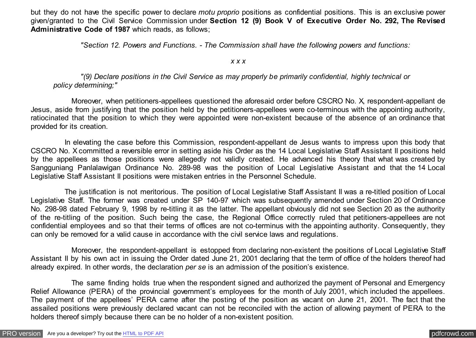but they do not have the specific power to declare *motu proprio* positions as confidential positions. This is an exclusive power given/granted to the Civil Service Commission under **Section 12 (9) Book V of Executive Order No. 292, The Revised Administrative Code of 1987** which reads, as follows;

 *"Section 12. Powers and Functions. - The Commission shall have the following powers and functions:*

## *x x x*

 *"(9) Declare positions in the Civil Service as may properly be primarily confidential, highly technical or policy determining;"*

 Moreover, when petitioners-appellees questioned the aforesaid order before CSCRO No. X, respondent-appellant de Jesus, aside from justifying that the position held by the petitioners-appellees were co-terminous with the appointing authority, ratiocinated that the position to which they were appointed were non-existent because of the absence of an ordinance that provided for its creation.

 In elevating the case before this Commission, respondent-appellant de Jesus wants to impress upon this body that CSCRO No. X committed a reversible error in setting aside his Order as the 14 Local Legislative Staff Assistant II positions held by the appellees as those positions were allegedly not validly created. He advanced his theory that what was created by Sangguniang Panlalawigan Ordinance No. 289-98 was the position of Local Legislative Assistant and that the 14 Local Legislative Staff Assistant II positions were mistaken entries in the Personnel Schedule.

 The justification is not meritorious. The position of Local Legislative Staff Assistant II was a re-titled position of Local Legislative Staff. The former was created under SP 140-97 which was subsequently amended under Section 20 of Ordinance No. 298-98 dated February 9, 1998 by re-titling it as the latter. The appellant obviously did not see Section 20 as the authority of the re-titling of the position. Such being the case, the Regional Office correctly ruled that petitioners-appellees are not confidential employees and so that their terms of offices are not co-terminus with the appointing authority. Consequently, they can only be removed for a valid cause in accordance with the civil service laws and regulations.

 Moreover, the respondent-appellant is estopped from declaring non-existent the positions of Local Legislative Staff Assistant II by his own act in issuing the Order dated June 21, 2001 declaring that the term of office of the holders thereof had already expired. In other words, the declaration *per se* is an admission of the position's existence.

 The same finding holds true when the respondent signed and authorized the payment of Personal and Emergency Relief Allowance (PERA) of the provincial government's employees for the month of July 2001, which included the appellees. The payment of the appellees' PERA came after the posting of the position as vacant on June 21, 2001. The fact that the assailed positions were previously declared vacant can not be reconciled with the action of allowing payment of PERA to the holders thereof simply because there can be no holder of a non-existent position.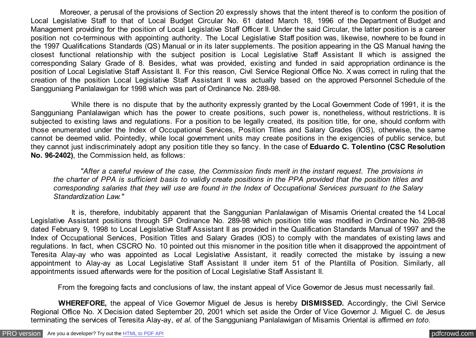Moreover, a perusal of the provisions of Section 20 expressly shows that the intent thereof is to conform the position of Local Legislative Staff to that of Local Budget Circular No. 61 dated March 18, 1996 of the Department of Budget and Management providing for the position of Local Legislative Staff Officer II. Under the said Circular, the latter position is a career position not co-terminous with appointing authority. The Local Legislative Staff position was, likewise, nowhere to be found in the 1997 Qualifications Standards (QS) Manual or in its later supplements. The position appearing in the QS Manual having the closest functional relationship with the subject position is Local Legislative Staff Assistant II which is assigned the corresponding Salary Grade of 8. Besides, what was provided, existing and funded in said appropriation ordinance is the position of Local Legislative Staff Assistant II. For this reason, Civil Service Regional Office No. X was correct in ruling that the creation of the position Local Legislative Staff Assistant II was actually based on the approved Personnel Schedule of the Sangguniang Panlalawigan for 1998 which was part of Ordinance No. 289-98.

 While there is no dispute that by the authority expressly granted by the Local Government Code of 1991, it is the Sangguniang Panlalawigan which has the power to create positions, such power is, nonetheless, without restrictions. It is subjected to existing laws and regulations. For a position to be legally created, its position title, for one, should conform with those enumerated under the Index of Occupational Services, Position Titles and Salary Grades (IOS), otherwise, the same cannot be deemed valid. Pointedly, while local government units may create positions in the exigencies of public service, but they cannot just indiscriminately adopt any position title they so fancy. In the case of **Eduardo C. Tolentino (CSC Resolution No. 96-2402)**, the Commission held, as follows:

 *"After a careful review of the case, the Commission finds merit in the instant request. The provisions in the charter of PPA is sufficient basis to validly create positions in the PPA provided that the position titles and corresponding salaries that they will use are found in the Index of Occupational Services pursuant to the Salary Standardization Law."*

 It is, therefore, indubitably apparent that the Sanggunian Panlalawigan of Misamis Oriental created the 14 Local Legislative Assistant positions through SP Ordinance No. 289-98 which position title was modified in Ordinance No. 298-98 dated February 9, 1998 to Local Legislative Staff Assistant II as provided in the Qualification Standards Manual of 1997 and the Index of Occupational Services, Position Titles and Salary Grades (IOS) to comply with the mandates of existing laws and regulations. In fact, when CSCRO No. 10 pointed out this misnomer in the position title when it disapproved the appointment of Teresita Alay-ay who was appointed as Local Legislative Assistant, it readily corrected the mistake by issuing a new appointment to Alay-ay as Local Legislative Staff Assistant II under item 51 of the Plantilla of Position. Similarly, all appointments issued afterwards were for the position of Local Legislative Staff Assistant II.

From the foregoing facts and conclusions of law, the instant appeal of Vice Governor de Jesus must necessarily fail.

 **WHEREFORE,** the appeal of Vice Governor Miguel de Jesus is hereby **DISMISSED.** Accordingly, the Civil Service Regional Office No. X Decision dated September 20, 2001 which set aside the Order of Vice Governor J. Miguel C. de Jesus terminating the services of Teresita Alay-ay, *et al.* of the Sangguniang Panlalawigan of Misamis Oriental is affirmed *en toto*.